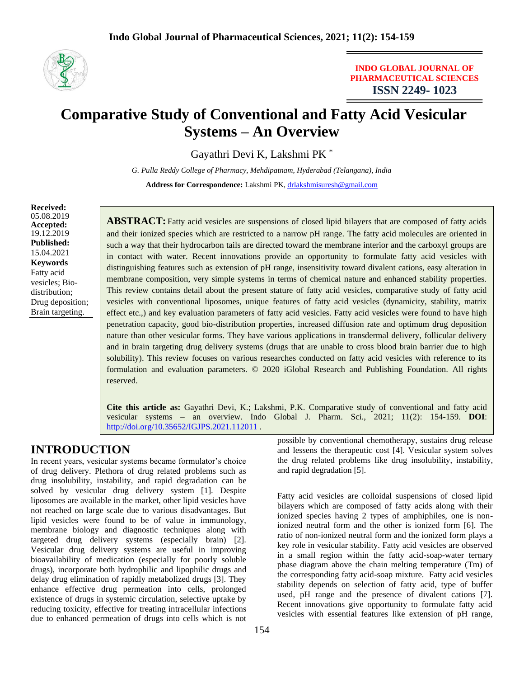

### **INDO GLOBAL JOURNAL OF PHARMACEUTICAL SCIENCES ISSN 2249- 1023**

# **Comparative Study of Conventional and Fatty Acid Vesicular Systems – An Overview**

Gayathri Devi K, Lakshmi PK \*

*G. Pulla Reddy College of Pharmacy, Mehdipatnam, Hyderabad (Telangana), India*

**Address for Correspondence:** Lakshmi PK, [drlakshmisuresh@gmail.com](mailto:drlakshmisuresh@gmail.com)

**Received:** 05.08.2019 **Accepted:**  19.12.2019 **Published:** 15.04.2021 **Keywords** Fatty acid vesicles; Biodistribution; Drug deposition; Brain targeting.

ABSTRACT: Fatty acid vesicles are suspensions of closed lipid bilayers that are composed of fatty acids and their ionized species which are restricted to a narrow pH range. The fatty acid molecules are oriented in such a way that their hydrocarbon tails are directed toward the membrane interior and the carboxyl groups are in contact with water. Recent innovations provide an opportunity to formulate fatty acid vesicles with distinguishing features such as extension of pH range, insensitivity toward divalent cations, easy alteration in membrane composition, very simple systems in terms of chemical nature and enhanced stability properties. This review contains detail about the present stature of fatty acid vesicles, comparative study of fatty acid vesicles with conventional liposomes, unique features of fatty acid vesicles (dynamicity, stability, matrix effect etc.,) and key evaluation parameters of fatty acid vesicles. Fatty acid vesicles were found to have high penetration capacity, good bio-distribution properties, increased diffusion rate and optimum drug deposition nature than other vesicular forms. They have various applications in transdermal delivery, follicular delivery and in brain targeting drug delivery systems (drugs that are unable to cross blood brain barrier due to high solubility). This review focuses on various researches conducted on fatty acid vesicles with reference to its formulation and evaluation parameters. © 2020 iGlobal Research and Publishing Foundation. All rights reserved.

**Cite this article as:** Gayathri Devi, K.; Lakshmi, P.K. Comparative study of conventional and fatty acid vesicular systems – an overview. Indo Global J. Pharm. Sci., 2021; 11(2): 154-159. **DOI**: <http://doi.org/10.35652/IGJPS.2021.112011> .

# **INTRODUCTION**

In recent years, vesicular systems became formulator's choice of drug delivery. Plethora of drug related problems such as drug insolubility, instability, and rapid degradation can be solved by vesicular drug delivery system [1]. Despite liposomes are available in the market, other lipid vesicles have not reached on large scale due to various disadvantages. But lipid vesicles were found to be of value in immunology, membrane biology and diagnostic techniques along with targeted drug delivery systems (especially brain) [2]. Vesicular drug delivery systems are useful in improving bioavailability of medication (especially for poorly soluble drugs), incorporate both hydrophilic and lipophilic drugs and delay drug elimination of rapidly metabolized drugs [3]. They enhance effective drug permeation into cells, prolonged existence of drugs in systemic circulation, selective uptake by reducing toxicity, effective for treating intracellular infections due to enhanced permeation of drugs into cells which is not possible by conventional chemotherapy, sustains drug release and lessens the therapeutic cost [4]. Vesicular system solves the drug related problems like drug insolubility, instability, and rapid degradation [5].

Fatty acid vesicles are colloidal suspensions of closed lipid bilayers which are composed of fatty acids along with their ionized species having 2 types of amphiphiles, one is nonionized neutral form and the other is ionized form [6]. The ratio of non-ionized neutral form and the ionized form plays a key role in vesicular stability. Fatty acid vesicles are observed in a small region within the fatty acid-soap-water ternary phase diagram above the chain melting temperature (Tm) of the corresponding fatty acid-soap mixture. Fatty acid vesicles stability depends on selection of fatty acid, type of buffer used, pH range and the presence of divalent cations [7]. Recent innovations give opportunity to formulate fatty acid vesicles with essential features like extension of pH range,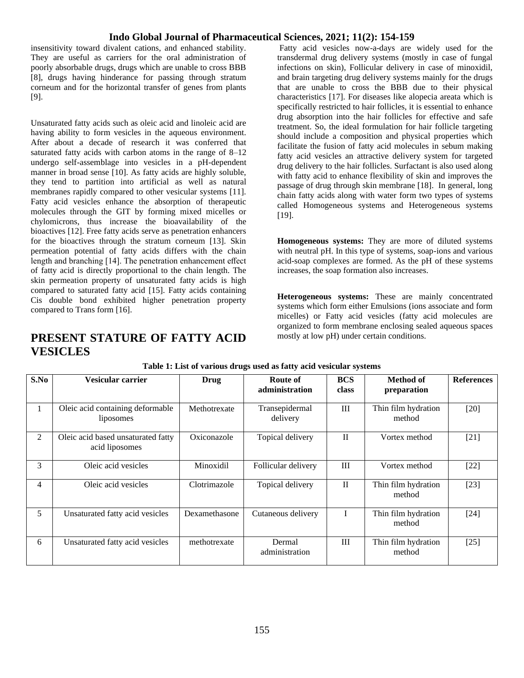### **Indo Global Journal of Pharmaceutical Sciences, 2021; 11(2): 154-159**

insensitivity toward divalent cations, and enhanced stability. They are useful as carriers for the oral administration of poorly absorbable drugs, drugs which are unable to cross BBB [8], drugs having hinderance for passing through stratum corneum and for the horizontal transfer of genes from plants [9].

Unsaturated fatty acids such as oleic acid and linoleic acid are having ability to form vesicles in the aqueous environment. After about a decade of research it was conferred that saturated fatty acids with carbon atoms in the range of 8–12 undergo self-assemblage into vesicles in a pH-dependent manner in broad sense [10]. As fatty acids are highly soluble, they tend to partition into artificial as well as natural membranes rapidly compared to other vesicular systems [11]. Fatty acid vesicles enhance the absorption of therapeutic molecules through the GIT by forming mixed micelles or chylomicrons, thus increase the bioavailability of the bioactives [12]. Free fatty acids serve as penetration enhancers for the bioactives through the stratum corneum [13]. Skin permeation potential of fatty acids differs with the chain length and branching [14]. The penetration enhancement effect of fatty acid is directly proportional to the chain length. The skin permeation property of unsaturated fatty acids is high compared to saturated fatty acid [15]. Fatty acids containing Cis double bond exhibited higher penetration property compared to Trans form [16].

# **PRESENT STATURE OF FATTY ACID VESICLES**

Fatty acid vesicles now-a-days are widely used for the transdermal drug delivery systems (mostly in case of fungal infections on skin), Follicular delivery in case of minoxidil, and brain targeting drug delivery systems mainly for the drugs that are unable to cross the BBB due to their physical characteristics [17]. For diseases like alopecia areata which is specifically restricted to hair follicles, it is essential to enhance drug absorption into the hair follicles for effective and safe treatment. So, the ideal formulation for hair follicle targeting should include a composition and physical properties which facilitate the fusion of fatty acid molecules in sebum making fatty acid vesicles an attractive delivery system for targeted drug delivery to the hair follicles. Surfactant is also used along with fatty acid to enhance flexibility of skin and improves the passage of drug through skin membrane [18]. In general, long chain fatty acids along with water form two types of systems called Homogeneous systems and Heterogeneous systems [19].

**Homogeneous systems:** They are more of diluted systems with neutral pH. In this type of systems, soap-ions and various acid-soap complexes are formed. As the pH of these systems increases, the soap formation also increases.

**Heterogeneous systems:** These are mainly concentrated systems which form either Emulsions (ions associate and form micelles) or Fatty acid vesicles (fatty acid molecules are organized to form membrane enclosing sealed aqueous spaces mostly at low pH) under certain conditions.

| S.No         | Vesicular carrier                                    | <b>Drug</b>   | Route of<br>administration | <b>BCS</b><br>class | Method of<br>preparation      | <b>References</b> |
|--------------|------------------------------------------------------|---------------|----------------------------|---------------------|-------------------------------|-------------------|
| $\mathbf{1}$ | Oleic acid containing deformable<br>liposomes        | Methotrexate  | Transepidermal<br>delivery | III                 | Thin film hydration<br>method | $[20]$            |
| 2            | Oleic acid based unsaturated fatty<br>acid liposomes | Oxiconazole   | Topical delivery           | $\mathbf{I}$        | Vortex method                 | $[21]$            |
| 3            | Oleic acid vesicles                                  | Minoxidil     | Follicular delivery        | Ш                   | Vortex method                 | $[22]$            |
| 4            | Oleic acid vesicles                                  | Clotrimazole  | Topical delivery           | $\mathbf{I}$        | Thin film hydration<br>method | $[23]$            |
| 5            | Unsaturated fatty acid vesicles                      | Dexamethasone | Cutaneous delivery         |                     | Thin film hydration<br>method | $[24]$            |
| 6            | Unsaturated fatty acid vesicles                      | methotrexate  | Dermal<br>administration   | III                 | Thin film hydration<br>method | [25]              |

**Table 1: List of various drugs used as fatty acid vesicular systems**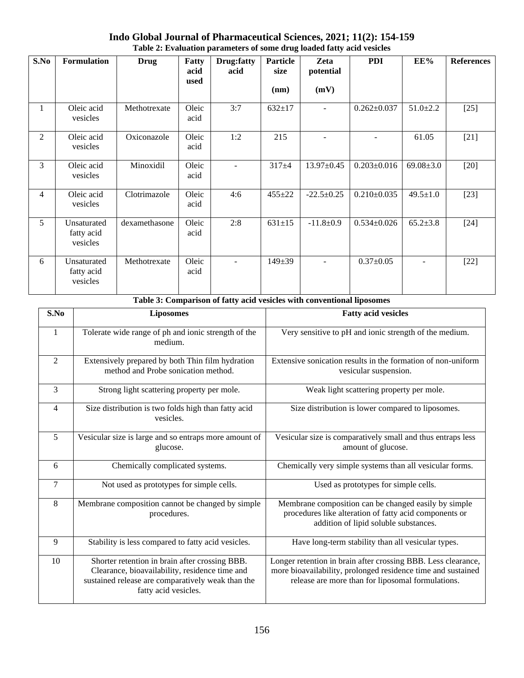| S.No           | <b>Formulation</b>                    | <b>Drug</b>   | Fatty<br>acid<br>used | Drug: fatty<br>acid | <b>Particle</b><br>size | Zeta<br>potential | <b>PDI</b>        | EE%             | <b>References</b> |
|----------------|---------------------------------------|---------------|-----------------------|---------------------|-------------------------|-------------------|-------------------|-----------------|-------------------|
|                |                                       |               |                       |                     | (nm)                    | (mV)              |                   |                 |                   |
| $\mathbf{1}$   | Oleic acid<br>vesicles                | Methotrexate  | Oleic<br>acid         | 3:7                 | $632 \pm 17$            |                   | $0.262 \pm 0.037$ | $51.0 \pm 2.2$  | $[25]$            |
| 2              | Oleic acid<br>vesicles                | Oxiconazole   | Oleic<br>acid         | 1:2                 | 215                     |                   |                   | 61.05           | $[21]$            |
| 3              | Oleic acid<br>vesicles                | Minoxidil     | Oleic<br>acid         |                     | $317 + 4$               | $13.97 \pm 0.45$  | $0.203 \pm 0.016$ | $69.08 \pm 3.0$ | $[20]$            |
| $\overline{4}$ | Oleic acid<br>vesicles                | Clotrimazole  | Oleic<br>acid         | 4:6                 | $455 + 22$              | $-22.5 \pm 0.25$  | $0.210 \pm 0.035$ | $49.5 \pm 1.0$  | $[23]$            |
| 5              | Unsaturated<br>fatty acid<br>vesicles | dexamethasone | Oleic<br>acid         | 2:8                 | $631 \pm 15$            | $-11.8+0.9$       | $0.534 \pm 0.026$ | $65.2 \pm 3.8$  | $[24]$            |
| 6              | Unsaturated<br>fatty acid<br>vesicles | Methotrexate  | Oleic<br>acid         |                     | $149 \pm 39$            |                   | $0.37 \pm 0.05$   |                 | $[22]$            |

### **Indo Global Journal of Pharmaceutical Sciences, 2021; 11(2): 154-159 Table 2: Evaluation parameters of some drug loaded fatty acid vesicles**

| Table 3: Comparison of fatty acid vesicles with conventional liposomes |                                                                                                                                                                               |                                                                                                                                                                                    |  |  |  |  |
|------------------------------------------------------------------------|-------------------------------------------------------------------------------------------------------------------------------------------------------------------------------|------------------------------------------------------------------------------------------------------------------------------------------------------------------------------------|--|--|--|--|
| S.No                                                                   | <b>Liposomes</b>                                                                                                                                                              | <b>Fatty acid vesicles</b>                                                                                                                                                         |  |  |  |  |
| $\mathbf{1}$                                                           | Tolerate wide range of ph and ionic strength of the<br>medium.                                                                                                                | Very sensitive to pH and ionic strength of the medium.                                                                                                                             |  |  |  |  |
| $\overline{2}$                                                         | Extensively prepared by both Thin film hydration<br>method and Probe sonication method.                                                                                       | Extensive sonication results in the formation of non-uniform<br>vesicular suspension.                                                                                              |  |  |  |  |
| $\overline{3}$                                                         | Strong light scattering property per mole.                                                                                                                                    | Weak light scattering property per mole.                                                                                                                                           |  |  |  |  |
| $\overline{4}$                                                         | Size distribution is two folds high than fatty acid<br>vesicles.                                                                                                              | Size distribution is lower compared to liposomes.                                                                                                                                  |  |  |  |  |
| 5                                                                      | Vesicular size is large and so entraps more amount of<br>glucose.                                                                                                             | Vesicular size is comparatively small and thus entraps less<br>amount of glucose.                                                                                                  |  |  |  |  |
| 6                                                                      | Chemically complicated systems.                                                                                                                                               | Chemically very simple systems than all vesicular forms.                                                                                                                           |  |  |  |  |
| $\overline{7}$                                                         | Not used as prototypes for simple cells.                                                                                                                                      | Used as prototypes for simple cells.                                                                                                                                               |  |  |  |  |
| 8                                                                      | Membrane composition cannot be changed by simple<br>procedures.                                                                                                               | Membrane composition can be changed easily by simple<br>procedures like alteration of fatty acid components or<br>addition of lipid soluble substances.                            |  |  |  |  |
| 9                                                                      | Stability is less compared to fatty acid vesicles.                                                                                                                            | Have long-term stability than all vesicular types.                                                                                                                                 |  |  |  |  |
| 10                                                                     | Shorter retention in brain after crossing BBB.<br>Clearance, bioavailability, residence time and<br>sustained release are comparatively weak than the<br>fatty acid vesicles. | Longer retention in brain after crossing BBB. Less clearance,<br>more bioavailability, prolonged residence time and sustained<br>release are more than for liposomal formulations. |  |  |  |  |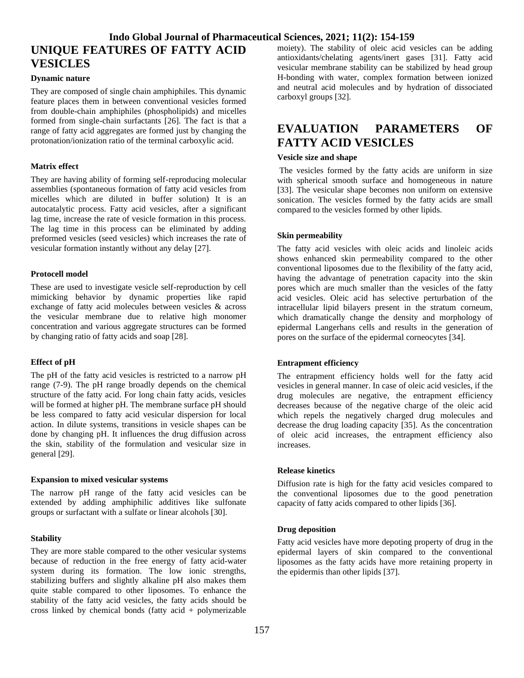# **Indo Global Journal of Pharmaceutical Sciences, 2021; 11(2): 154-159 UNIQUE FEATURES OF FATTY ACID VESICLES**

#### **Dynamic nature**

They are composed of single chain amphiphiles. This dynamic feature places them in between conventional vesicles formed from double-chain amphiphiles (phospholipids) and micelles formed from single-chain surfactants [26]. The fact is that a range of fatty acid aggregates are formed just by changing the protonation/ionization ratio of the terminal carboxylic acid.

#### **Matrix effect**

They are having ability of forming self-reproducing molecular assemblies (spontaneous formation of fatty acid vesicles from micelles which are diluted in buffer solution) It is an autocatalytic process. Fatty acid vesicles, after a significant lag time, increase the rate of vesicle formation in this process. The lag time in this process can be eliminated by adding preformed vesicles (seed vesicles) which increases the rate of vesicular formation instantly without any delay [27].

#### **Protocell model**

These are used to investigate vesicle self-reproduction by cell mimicking behavior by dynamic properties like rapid exchange of fatty acid molecules between vesicles & across the vesicular membrane due to relative high monomer concentration and various aggregate structures can be formed by changing ratio of fatty acids and soap [28].

#### **Effect of pH**

The pH of the fatty acid vesicles is restricted to a narrow pH range (7-9). The pH range broadly depends on the chemical structure of the fatty acid. For long chain fatty acids, vesicles will be formed at higher pH. The membrane surface pH should be less compared to fatty acid vesicular dispersion for local action. In dilute systems, transitions in vesicle shapes can be done by changing pH. It influences the drug diffusion across the skin, stability of the formulation and vesicular size in general [29].

#### **Expansion to mixed vesicular systems**

The narrow pH range of the fatty acid vesicles can be extended by adding amphiphilic additives like sulfonate groups or surfactant with a sulfate or linear alcohols [30].

#### **Stability**

They are more stable compared to the other vesicular systems because of reduction in the free energy of fatty acid-water system during its formation. The low ionic strengths, stabilizing buffers and slightly alkaline pH also makes them quite stable compared to other liposomes. To enhance the stability of the fatty acid vesicles, the fatty acids should be cross linked by chemical bonds (fatty acid + polymerizable

moiety). The stability of oleic acid vesicles can be adding antioxidants/chelating agents/inert gases [31]. Fatty acid vesicular membrane stability can be stabilized by head group H-bonding with water, complex formation between ionized and neutral acid molecules and by hydration of dissociated carboxyl groups [32].

# **EVALUATION PARAMETERS OF FATTY ACID VESICLES**

#### **Vesicle size and shape**

The vesicles formed by the fatty acids are uniform in size with spherical smooth surface and homogeneous in nature [33]. The vesicular shape becomes non uniform on extensive sonication. The vesicles formed by the fatty acids are small compared to the vesicles formed by other lipids.

#### **Skin permeability**

The fatty acid vesicles with oleic acids and linoleic acids shows enhanced skin permeability compared to the other conventional liposomes due to the flexibility of the fatty acid, having the advantage of penetration capacity into the skin pores which are much smaller than the vesicles of the fatty acid vesicles. Oleic acid has selective perturbation of the intracellular lipid bilayers present in the stratum corneum, which dramatically change the density and morphology of epidermal Langerhans cells and results in the generation of pores on the surface of the epidermal corneocytes [34].

#### **Entrapment efficiency**

The entrapment efficiency holds well for the fatty acid vesicles in general manner. In case of oleic acid vesicles, if the drug molecules are negative, the entrapment efficiency decreases because of the negative charge of the oleic acid which repels the negatively charged drug molecules and decrease the drug loading capacity [35]. As the concentration of oleic acid increases, the entrapment efficiency also increases.

#### **Release kinetics**

Diffusion rate is high for the fatty acid vesicles compared to the conventional liposomes due to the good penetration capacity of fatty acids compared to other lipids [36].

#### **Drug deposition**

Fatty acid vesicles have more depoting property of drug in the epidermal layers of skin compared to the conventional liposomes as the fatty acids have more retaining property in the epidermis than other lipids [37].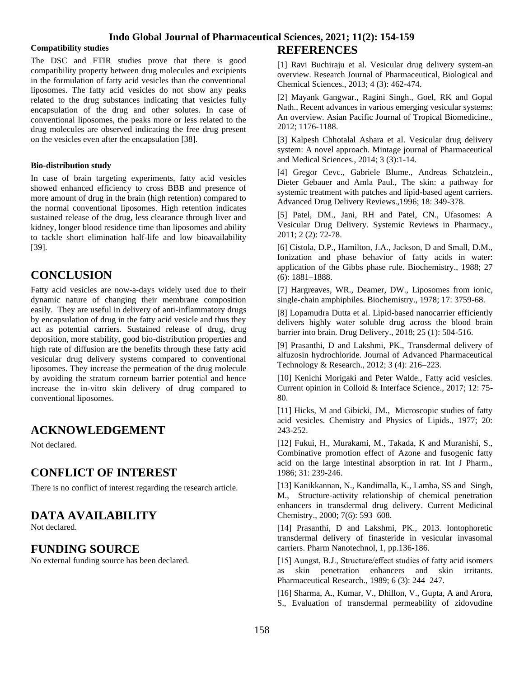### **Indo Global Journal of Pharmaceutical Sciences, 2021; 11(2): 154-159**

#### **Compatibility studies**

The DSC and FTIR studies prove that there is good compatibility property between drug molecules and excipients in the formulation of fatty acid vesicles than the conventional liposomes. The fatty acid vesicles do not show any peaks related to the drug substances indicating that vesicles fully encapsulation of the drug and other solutes. In case of conventional liposomes, the peaks more or less related to the drug molecules are observed indicating the free drug present on the vesicles even after the encapsulation [38].

#### **Bio-distribution study**

In case of brain targeting experiments, fatty acid vesicles showed enhanced efficiency to cross BBB and presence of more amount of drug in the brain (high retention) compared to the normal conventional liposomes. High retention indicates sustained release of the drug, less clearance through liver and kidney, longer blood residence time than liposomes and ability to tackle short elimination half-life and low bioavailability [39].

### **CONCLUSION**

Fatty acid vesicles are now-a-days widely used due to their dynamic nature of changing their membrane composition easily. They are useful in delivery of anti-inflammatory drugs by encapsulation of drug in the fatty acid vesicle and thus they act as potential carriers. Sustained release of drug, drug deposition, more stability, good bio-distribution properties and high rate of diffusion are the benefits through these fatty acid vesicular drug delivery systems compared to conventional liposomes. They increase the permeation of the drug molecule by avoiding the stratum corneum barrier potential and hence increase the in-vitro skin delivery of drug compared to conventional liposomes.

# **ACKNOWLEDGEMENT**

Not declared.

### **CONFLICT OF INTEREST**

There is no conflict of interest regarding the research article.

# **DATA AVAILABILITY**

Not declared.

### **FUNDING SOURCE**

No external funding source has been declared.

# **REFERENCES**

[1] Ravi Buchiraju et al. Vesicular drug delivery system-an overview. Research Journal of Pharmaceutical, Biological and Chemical Sciences., 2013; 4 (3): 462-474.

[2] Mayank Gangwar., Ragini Singh., Goel, RK and Gopal Nath., Recent advances in various emerging vesicular systems: An overview. Asian Pacific Journal of Tropical Biomedicine., 2012; 1176-1188.

[3] Kalpesh Chhotalal Ashara et al. Vesicular drug delivery system: A novel approach. Mintage journal of Pharmaceutical and Medical Sciences., 2014; 3 (3):1-14.

[4] Gregor Cevc., Gabriele Blume., Andreas Schatzlein., Dieter Gebauer and Amla Paul., The skin: a pathway for systemic treatment with patches and lipid-based agent carriers. Advanced Drug Delivery Reviews.,1996; 18: 349-378.

[5] Patel, DM., Jani, RH and Patel, CN., Ufasomes: A Vesicular Drug Delivery. Systemic Reviews in Pharmacy., 2011; 2 (2): 72-78.

[6] Cistola, D.P., Hamilton, J.A., Jackson, D and Small, D.M., Ionization and phase behavior of fatty acids in water: application of the Gibbs phase rule. Biochemistry., 1988; 27 (6): 1881–1888.

[7] Hargreaves, WR., Deamer, DW., Liposomes from ionic, single-chain amphiphiles. Biochemistry., 1978; 17: 3759-68.

[8] Lopamudra Dutta et al. Lipid-based nanocarrier efficiently delivers highly water soluble drug across the blood–brain barrier into brain. Drug Delivery., 2018; 25 (1): 504-516.

[9] Prasanthi, D and Lakshmi, PK., Transdermal delivery of alfuzosin hydrochloride. Journal of Advanced Pharmaceutical Technology & Research., 2012; 3 (4): 216–223.

[10] Kenichi Morigaki and Peter Walde., Fatty acid vesicles. Current opinion in Colloid & Interface Science., 2017; 12: 75- 80.

[11] Hicks, M and Gibicki, JM., Microscopic studies of fatty acid vesicles. Chemistry and Physics of Lipids., 1977; 20: 243-252.

[12] Fukui, H., Murakami, M., Takada, K and Muranishi, S., Combinative promotion effect of Azone and fusogenic fatty acid on the large intestinal absorption in rat. Int J Pharm., 1986; 31: 239-246.

[13] Kanikkannan, N., Kandimalla, K., Lamba, SS and Singh, M., Structure-activity relationship of chemical penetration enhancers in transdermal drug delivery. Current Medicinal Chemistry., 2000; 7(6): 593–608.

[14] Prasanthi, D and Lakshmi, PK., 2013. Iontophoretic transdermal delivery of finasteride in vesicular invasomal carriers. Pharm Nanotechnol, 1, pp.136-186.

[15] Aungst, B.J., Structure/effect studies of fatty acid isomers as skin penetration enhancers and skin irritants. Pharmaceutical Research., 1989; 6 (3): 244–247.

[16] Sharma, A., Kumar, V., Dhillon, V., Gupta, A and Arora, S., Evaluation of transdermal permeability of zidovudine